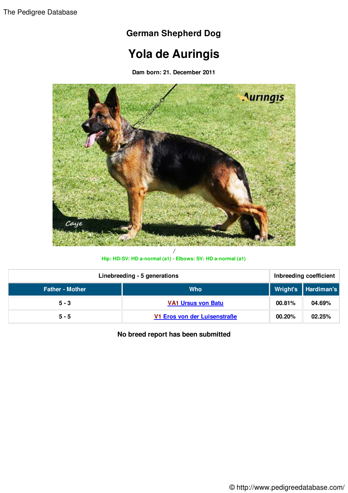## **German Shepherd Dog**

## **Yola de Auringis**

**Dam born: 21. December 2011**



**Hip: HD-SV: HD a-normal (a1) - Elbows: SV: HD a-normal (a1)**

| Linebreeding - 5 generations |                              | Inbreeding coefficient |                     |
|------------------------------|------------------------------|------------------------|---------------------|
| <b>Father - Mother</b>       | <b>Who</b>                   |                        | Wright's Hardiman's |
| $5 - 3$                      | <b>VA1 Ursus von Batu</b>    | 00.81%                 | 04.69%              |
| $5 - 5$                      | V1 Eros von der Luisenstraße | 00.20%                 | 02.25%              |

**No breed report has been submitted**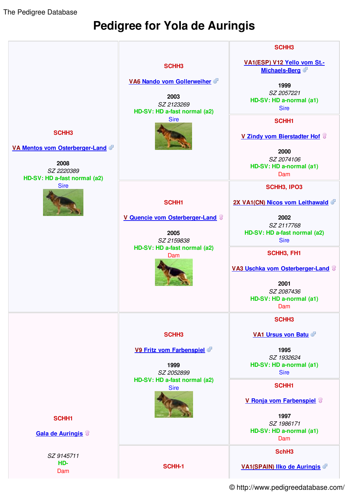The Pedigree Database

## **Pedigree for Yola de Auringis**



© http://www.pedigreedatabase.com/